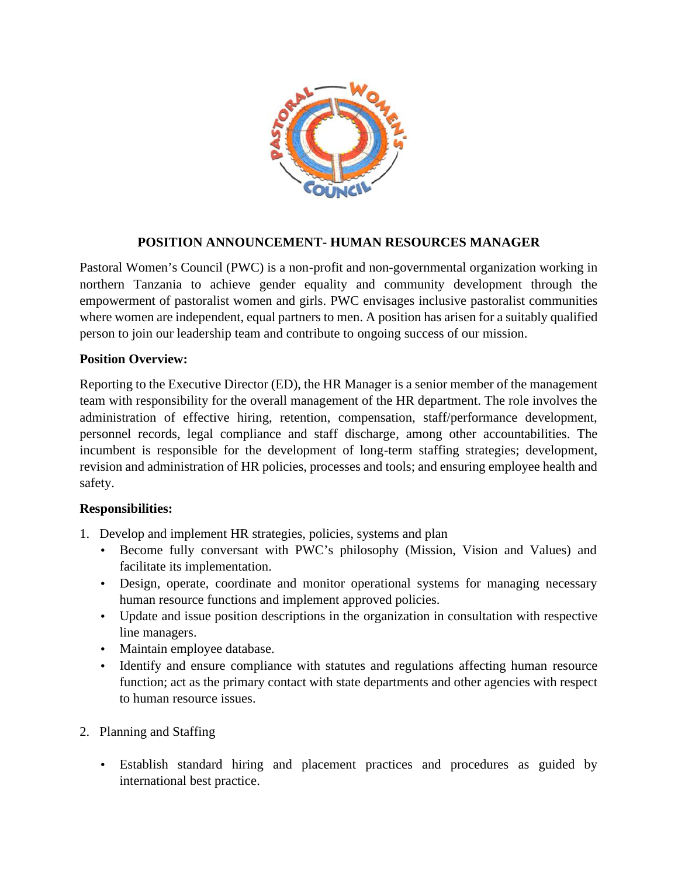

## **POSITION ANNOUNCEMENT- HUMAN RESOURCES MANAGER**

Pastoral Women's Council (PWC) is a non-profit and non-governmental organization working in northern Tanzania to achieve gender equality and community development through the empowerment of pastoralist women and girls. PWC envisages inclusive pastoralist communities where women are independent, equal partners to men. A position has arisen for a suitably qualified person to join our leadership team and contribute to ongoing success of our mission.

#### **Position Overview:**

Reporting to the Executive Director (ED), the HR Manager is a senior member of the management team with responsibility for the overall management of the HR department. The role involves the administration of effective hiring, retention, compensation, staff/performance development, personnel records, legal compliance and staff discharge, among other accountabilities. The incumbent is responsible for the development of long-term staffing strategies; development, revision and administration of HR policies, processes and tools; and ensuring employee health and safety.

### **Responsibilities:**

- 1. Develop and implement HR strategies, policies, systems and plan
	- Become fully conversant with PWC's philosophy (Mission, Vision and Values) and facilitate its implementation.
	- Design, operate, coordinate and monitor operational systems for managing necessary human resource functions and implement approved policies.
	- Update and issue position descriptions in the organization in consultation with respective line managers.
	- Maintain employee database.
	- Identify and ensure compliance with statutes and regulations affecting human resource function; act as the primary contact with state departments and other agencies with respect to human resource issues.
- 2. Planning and Staffing
	- Establish standard hiring and placement practices and procedures as guided by international best practice.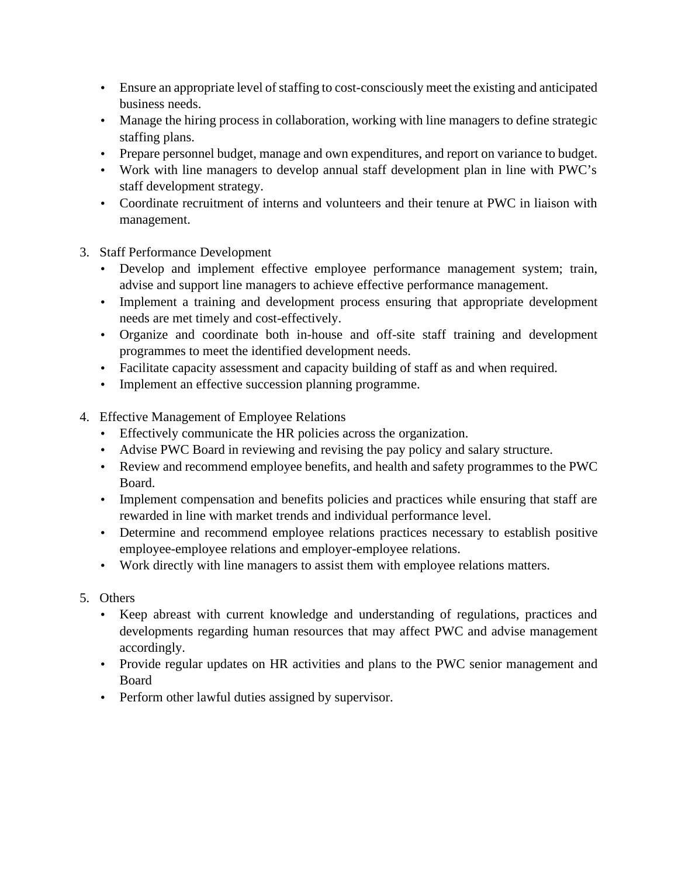- Ensure an appropriate level of staffing to cost-consciously meet the existing and anticipated business needs.
- Manage the hiring process in collaboration, working with line managers to define strategic staffing plans.
- Prepare personnel budget, manage and own expenditures, and report on variance to budget.
- Work with line managers to develop annual staff development plan in line with PWC's staff development strategy.
- Coordinate recruitment of interns and volunteers and their tenure at PWC in liaison with management.
- 3. Staff Performance Development
	- Develop and implement effective employee performance management system; train, advise and support line managers to achieve effective performance management.
	- Implement a training and development process ensuring that appropriate development needs are met timely and cost-effectively.
	- Organize and coordinate both in-house and off-site staff training and development programmes to meet the identified development needs.
	- Facilitate capacity assessment and capacity building of staff as and when required.
	- Implement an effective succession planning programme.
- 4. Effective Management of Employee Relations
	- Effectively communicate the HR policies across the organization.
	- Advise PWC Board in reviewing and revising the pay policy and salary structure.
	- Review and recommend employee benefits, and health and safety programmes to the PWC Board.
	- Implement compensation and benefits policies and practices while ensuring that staff are rewarded in line with market trends and individual performance level.
	- Determine and recommend employee relations practices necessary to establish positive employee-employee relations and employer-employee relations.
	- Work directly with line managers to assist them with employee relations matters.
- 5. Others
	- Keep abreast with current knowledge and understanding of regulations, practices and developments regarding human resources that may affect PWC and advise management accordingly.
	- Provide regular updates on HR activities and plans to the PWC senior management and Board
	- Perform other lawful duties assigned by supervisor.